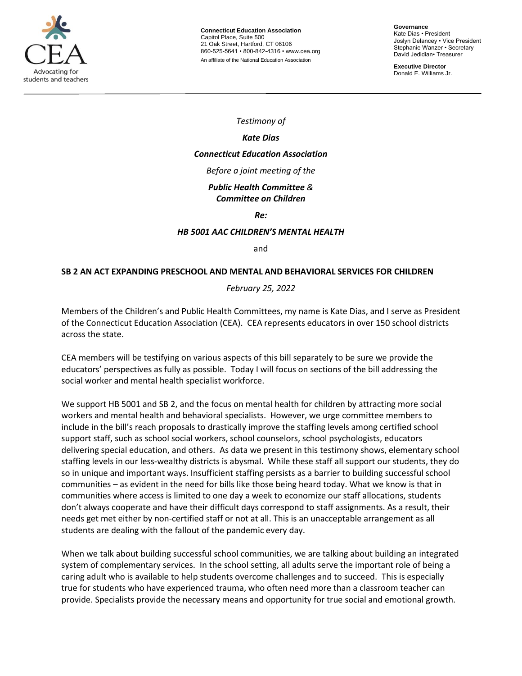

**Governance** Kate Dias • President Joslyn Delancey • Vice President Stephanie Wanzer • Secretary David Jedidian• Treasurer

**Executive Director**  Donald E. Williams Jr.

*Testimony of*

## *Kate Dias*

# *Connecticut Education Association*

*Before a joint meeting of the* 

#### *Public Health Committee & Committee on Children*

*Re:*

## *HB 5001 AAC CHILDREN'S MENTAL HEALTH*

and

## **SB 2 AN ACT EXPANDING PRESCHOOL AND MENTAL AND BEHAVIORAL SERVICES FOR CHILDREN**

*February 25, 2022*

Members of the Children's and Public Health Committees, my name is Kate Dias, and I serve as President of the Connecticut Education Association (CEA). CEA represents educators in over 150 school districts across the state.

CEA members will be testifying on various aspects of this bill separately to be sure we provide the educators' perspectives as fully as possible. Today I will focus on sections of the bill addressing the social worker and mental health specialist workforce.

We support HB 5001 and SB 2, and the focus on mental health for children by attracting more social workers and mental health and behavioral specialists. However, we urge committee members to include in the bill's reach proposals to drastically improve the staffing levels among certified school support staff, such as school social workers, school counselors, school psychologists, educators delivering special education, and others. As data we present in this testimony shows, elementary school staffing levels in our less-wealthy districts is abysmal. While these staff all support our students, they do so in unique and important ways. Insufficient staffing persists as a barrier to building successful school communities – as evident in the need for bills like those being heard today. What we know is that in communities where access is limited to one day a week to economize our staff allocations, students don't always cooperate and have their difficult days correspond to staff assignments. As a result, their needs get met either by non-certified staff or not at all. This is an unacceptable arrangement as all students are dealing with the fallout of the pandemic every day.

When we talk about building successful school communities, we are talking about building an integrated system of complementary services. In the school setting, all adults serve the important role of being a caring adult who is available to help students overcome challenges and to succeed. This is especially true for students who have experienced trauma, who often need more than a classroom teacher can provide. Specialists provide the necessary means and opportunity for true social and emotional growth.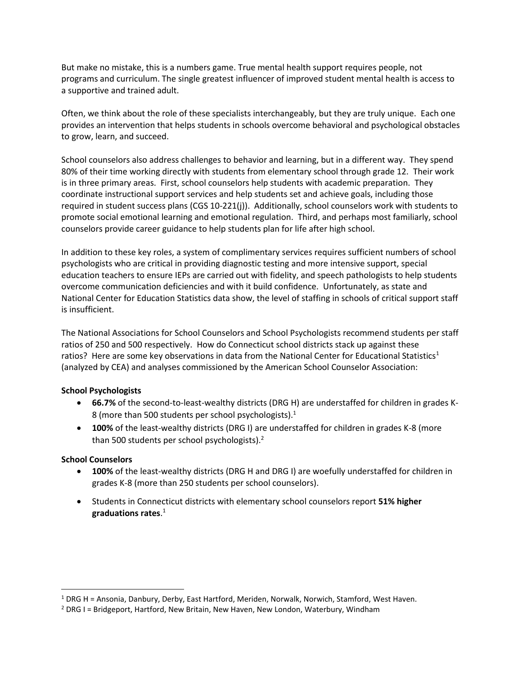But make no mistake, this is a numbers game. True mental health support requires people, not programs and curriculum. The single greatest influencer of improved student mental health is access to a supportive and trained adult.

Often, we think about the role of these specialists interchangeably, but they are truly unique. Each one provides an intervention that helps students in schools overcome behavioral and psychological obstacles to grow, learn, and succeed.

School counselors also address challenges to behavior and learning, but in a different way. They spend 80% of their time working directly with students from elementary school through grade 12. Their work is in three primary areas. First, school counselors help students with academic preparation. They coordinate instructional support services and help students set and achieve goals, including those required in student success plans (CGS 10-221(j)). Additionally, school counselors work with students to promote social emotional learning and emotional regulation. Third, and perhaps most familiarly, school counselors provide career guidance to help students plan for life after high school.

In addition to these key roles, a system of complimentary services requires sufficient numbers of school psychologists who are critical in providing diagnostic testing and more intensive support, special education teachers to ensure IEPs are carried out with fidelity, and speech pathologists to help students overcome communication deficiencies and with it build confidence. Unfortunately, as state and National Center for Education Statistics data show, the level of staffing in schools of critical support staff is insufficient.

The National Associations for School Counselors and School Psychologists recommend students per staff ratios of 250 and 500 respectively. How do Connecticut school districts stack up against these ratios? Here are some key observations in data from the National Center for Educational Statistics<sup>1</sup> (analyzed by CEA) and analyses commissioned by the American School Counselor Association:

## **School Psychologists**

- **66.7%** of the second-to-least-wealthy districts (DRG H) are understaffed for children in grades K-8 (more than 500 students per school psychologists).<sup>1</sup>
- **100%** of the least-wealthy districts (DRG I) are understaffed for children in grades K-8 (more than 500 students per school psychologists).<sup>2</sup>

#### **School Counselors**

- **100%** of the least-wealthy districts (DRG H and DRG I) are woefully understaffed for children in grades K-8 (more than 250 students per school counselors).
- Students in Connecticut districts with elementary school counselors report **51% higher graduations rates**. 1

 $1$  DRG H = Ansonia, Danbury, Derby, East Hartford, Meriden, Norwalk, Norwich, Stamford, West Haven.

 $2$  DRG I = Bridgeport, Hartford, New Britain, New Haven, New London, Waterbury, Windham